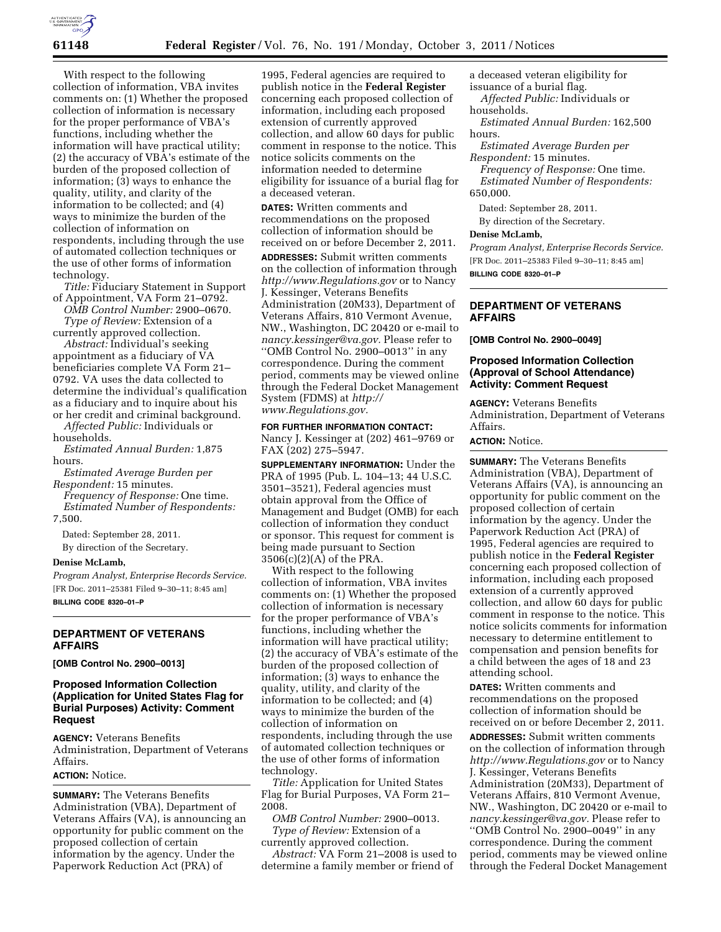

With respect to the following collection of information, VBA invites comments on: (1) Whether the proposed collection of information is necessary for the proper performance of VBA's functions, including whether the information will have practical utility; (2) the accuracy of VBA's estimate of the burden of the proposed collection of information; (3) ways to enhance the quality, utility, and clarity of the information to be collected; and (4) ways to minimize the burden of the collection of information on respondents, including through the use of automated collection techniques or the use of other forms of information technology.

*Title:* Fiduciary Statement in Support of Appointment, VA Form 21–0792.

*OMB Control Number:* 2900–0670. *Type of Review:* Extension of a currently approved collection.

*Abstract:* Individual's seeking appointment as a fiduciary of VA beneficiaries complete VA Form 21– 0792. VA uses the data collected to determine the individual's qualification as a fiduciary and to inquire about his or her credit and criminal background.

*Affected Public:* Individuals or households.

*Estimated Annual Burden:* 1,875 hours.

*Estimated Average Burden per Respondent:* 15 minutes.

*Frequency of Response:* One time. *Estimated Number of Respondents:*  7,500.

Dated: September 28, 2011.

By direction of the Secretary.

#### **Denise McLamb,**

*Program Analyst, Enterprise Records Service.*  [FR Doc. 2011–25381 Filed 9–30–11; 8:45 am] **BILLING CODE 8320–01–P** 

# **DEPARTMENT OF VETERANS AFFAIRS**

**[OMB Control No. 2900–0013]** 

# **Proposed Information Collection (Application for United States Flag for Burial Purposes) Activity: Comment Request**

**AGENCY:** Veterans Benefits Administration, Department of Veterans Affairs.

#### **ACTION:** Notice.

**SUMMARY:** The Veterans Benefits Administration (VBA), Department of Veterans Affairs (VA), is announcing an opportunity for public comment on the proposed collection of certain information by the agency. Under the Paperwork Reduction Act (PRA) of

1995, Federal agencies are required to publish notice in the **Federal Register**  concerning each proposed collection of information, including each proposed extension of currently approved collection, and allow 60 days for public comment in response to the notice. This notice solicits comments on the information needed to determine eligibility for issuance of a burial flag for a deceased veteran.

**DATES:** Written comments and recommendations on the proposed collection of information should be received on or before December 2, 2011.

**ADDRESSES:** Submit written comments on the collection of information through *<http://www.Regulations.gov>*or to Nancy J. Kessinger, Veterans Benefits Administration (20M33), Department of Veterans Affairs, 810 Vermont Avenue, NW., Washington, DC 20420 or e-mail to *[nancy.kessinger@va.gov.](mailto:nancy.kessinger@va.gov)* Please refer to ''OMB Control No. 2900–0013'' in any correspondence. During the comment period, comments may be viewed online through the Federal Docket Management System (FDMS) at *[http://](http://www.Regulations.gov) [www.Regulations.gov.](http://www.Regulations.gov)* 

# **FOR FURTHER INFORMATION CONTACT:**

Nancy J. Kessinger at (202) 461–9769 or FAX (202) 275–5947.

**SUPPLEMENTARY INFORMATION:** Under the PRA of 1995 (Pub. L. 104–13; 44 U.S.C. 3501–3521), Federal agencies must obtain approval from the Office of Management and Budget (OMB) for each collection of information they conduct or sponsor. This request for comment is being made pursuant to Section 3506(c)(2)(A) of the PRA.

With respect to the following collection of information, VBA invites comments on: (1) Whether the proposed collection of information is necessary for the proper performance of VBA's functions, including whether the information will have practical utility; (2) the accuracy of VBA's estimate of the burden of the proposed collection of information; (3) ways to enhance the quality, utility, and clarity of the information to be collected; and (4) ways to minimize the burden of the collection of information on respondents, including through the use of automated collection techniques or the use of other forms of information technology.

*Title:* Application for United States Flag for Burial Purposes, VA Form 21– 2008.

*OMB Control Number:* 2900–0013. *Type of Review:* Extension of a currently approved collection.

*Abstract:* VA Form 21–2008 is used to determine a family member or friend of

a deceased veteran eligibility for issuance of a burial flag.

*Affected Public:* Individuals or households.

*Estimated Annual Burden:* 162,500 hours.

*Estimated Average Burden per Respondent:* 15 minutes.

*Frequency of Response:* One time. *Estimated Number of Respondents:*  650,000.

Dated: September 28, 2011.

By direction of the Secretary.

### **Denise McLamb,**

*Program Analyst, Enterprise Records Service.*  [FR Doc. 2011–25383 Filed 9–30–11; 8:45 am] **BILLING CODE 8320–01–P** 

## **DEPARTMENT OF VETERANS AFFAIRS**

**[OMB Control No. 2900–0049]** 

## **Proposed Information Collection (Approval of School Attendance) Activity: Comment Request**

**AGENCY:** Veterans Benefits Administration, Department of Veterans Affairs.

#### **ACTION:** Notice.

**SUMMARY:** The Veterans Benefits Administration (VBA), Department of Veterans Affairs (VA), is announcing an opportunity for public comment on the proposed collection of certain information by the agency. Under the Paperwork Reduction Act (PRA) of 1995, Federal agencies are required to publish notice in the **Federal Register**  concerning each proposed collection of information, including each proposed extension of a currently approved collection, and allow 60 days for public comment in response to the notice. This notice solicits comments for information necessary to determine entitlement to compensation and pension benefits for a child between the ages of 18 and 23 attending school.

**DATES:** Written comments and recommendations on the proposed collection of information should be received on or before December 2, 2011.

**ADDRESSES:** Submit written comments on the collection of information through *<http://www.Regulations.gov>*or to Nancy J. Kessinger, Veterans Benefits Administration (20M33), Department of Veterans Affairs, 810 Vermont Avenue, NW., Washington, DC 20420 or e-mail to *[nancy.kessinger@va.gov.](mailto:nancy.kessinger@va.gov)* Please refer to ''OMB Control No. 2900–0049'' in any correspondence. During the comment period, comments may be viewed online through the Federal Docket Management